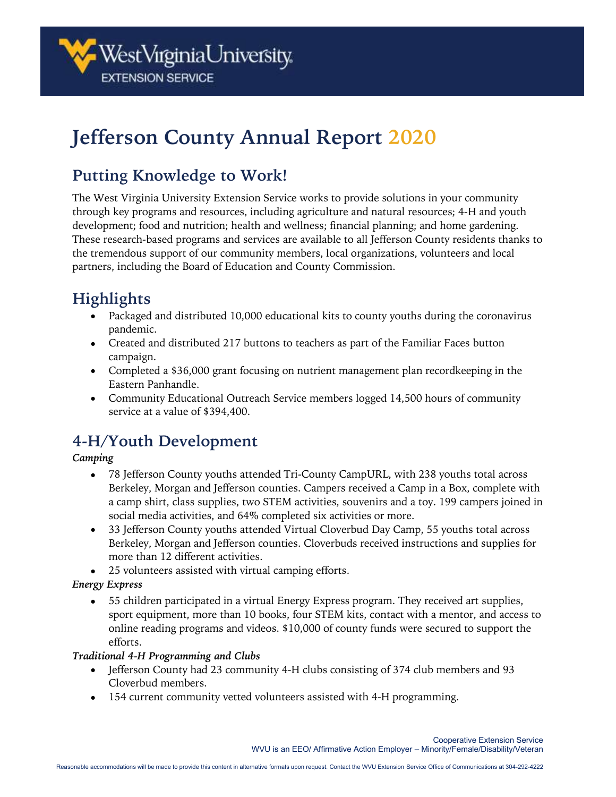

# **Jefferson County Annual Report 2020**

### **Putting Knowledge to Work!**

The West Virginia University Extension Service works to provide solutions in your community through key programs and resources, including agriculture and natural resources; 4-H and youth development; food and nutrition; health and wellness; financial planning; and home gardening. These research-based programs and services are available to all Jefferson County residents thanks to the tremendous support of our community members, local organizations, volunteers and local partners, including the Board of Education and County Commission.

## **Highlights**

- Packaged and distributed 10,000 educational kits to county youths during the coronavirus pandemic.
- Created and distributed 217 buttons to teachers as part of the Familiar Faces button campaign.
- Completed a \$36,000 grant focusing on nutrient management plan recordkeeping in the Eastern Panhandle.
- Community Educational Outreach Service members logged 14,500 hours of community service at a value of \$394,400.

### **4-H/Youth Development**

#### *Camping*

- 78 Jefferson County youths attended Tri-County CampURL, with 238 youths total across Berkeley, Morgan and Jefferson counties. Campers received a Camp in a Box, complete with a camp shirt, class supplies, two STEM activities, souvenirs and a toy. 199 campers joined in social media activities, and 64% completed six activities or more.
- 33 Jefferson County youths attended Virtual Cloverbud Day Camp, 55 youths total across Berkeley, Morgan and Jefferson counties. Cloverbuds received instructions and supplies for more than 12 different activities.
- 25 volunteers assisted with virtual camping efforts.

#### *Energy Express*

• 55 children participated in a virtual Energy Express program. They received art supplies, sport equipment, more than 10 books, four STEM kits, contact with a mentor, and access to online reading programs and videos. \$10,000 of county funds were secured to support the efforts.

#### *Traditional 4-H Programming and Clubs*

- Jefferson County had 23 community 4-H clubs consisting of 374 club members and 93 Cloverbud members.
- 154 current community vetted volunteers assisted with 4-H programming.